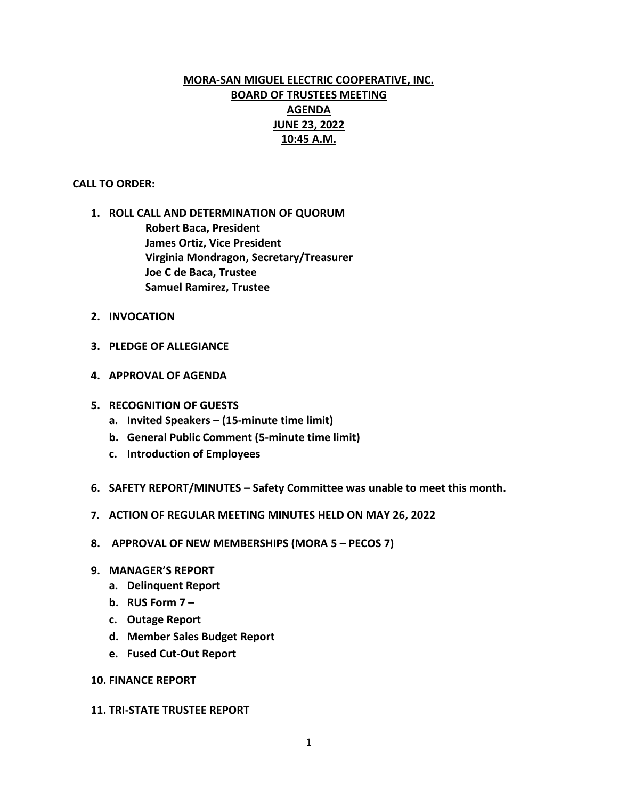# **MORA-SAN MIGUEL ELECTRIC COOPERATIVE, INC. BOARD OF TRUSTEES MEETING AGENDA JUNE 23, 2022 10:45 A.M.**

#### **CALL TO ORDER:**

- **1. ROLL CALL AND DETERMINATION OF QUORUM Robert Baca, President James Ortiz, Vice President Virginia Mondragon, Secretary/Treasurer Joe C de Baca, Trustee Samuel Ramirez, Trustee**
- **2. INVOCATION**
- **3. PLEDGE OF ALLEGIANCE**
- **4. APPROVAL OF AGENDA**
- **5. RECOGNITION OF GUESTS**
	- **a. Invited Speakers – (15-minute time limit)**
	- **b. General Public Comment (5-minute time limit)**
	- **c. Introduction of Employees**
- **6. SAFETY REPORT/MINUTES – Safety Committee was unable to meet this month.**
- **7. ACTION OF REGULAR MEETING MINUTES HELD ON MAY 26, 2022**
- **8. APPROVAL OF NEW MEMBERSHIPS (MORA 5 – PECOS 7)**
- **9. MANAGER'S REPORT**
	- **a. Delinquent Report**
	- **b. RUS Form 7 –**
	- **c. Outage Report**
	- **d. Member Sales Budget Report**
	- **e. Fused Cut-Out Report**

#### **10. FINANCE REPORT**

#### **11. TRI-STATE TRUSTEE REPORT**